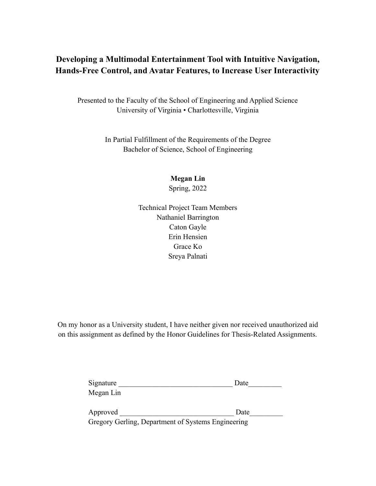## **Developing a Multimodal Entertainment Tool Zith Intuitive Navigation, Hands-Free Control, and Avatar Features, to Increase User Interactivit\**

Presented to the Faculty of the School of Engineering and Applied Science University of Virginia • Charlottesville, Virginia

> In Partial Fulfillment of the Requirements of the Degree Bachelor of Science, School of Engineering

> > **Megan Lin** Spring, 2022

Technical Project Team Members Nathaniel Barrington Caton Gayle Erin Hensien Grace Ko Sreya Palnati

On my honor as a University student, I have neither given nor received unauthorized aid on this assignment as defined by the Honor Guidelines for Thesis-Related Assignments.

| Signature                                          | Date |
|----------------------------------------------------|------|
| Megan Lin                                          |      |
| Approved                                           | Date |
| Gregory Gerling, Department of Systems Engineering |      |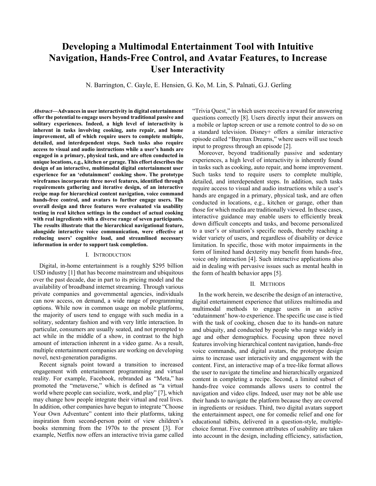# **Developing a Multimodal Entertainment Tool with Intuitive Navigation, Hands-Free Control, and Avatar Features, to Increase User Interactivity**

N. Barrington, C. Gayle, E. Hensien, G. Ko, M. Lin, S. Palnati, G.J. Gerling

*Abstract***²Advances in user interactivity in digital entertainment offer the potential to engage users beyond traditional passive and solitary experiences. Indeed, a high level of interactivity is inherent in tasks involving cooking, auto repair, and home improvement, all of which require users to complete multiple, detailed, and interdependent steps. Such tasks also require**  access to visual and audio instructions while a user's hands are **engaged in a primary, physical task, and are often conducted in unique locations, e.g., kitchen or garage. This effort describes the design of an interactive, multimodal digital entertainment user**  experience for an 'edutainment' cooking show. The prototype **wireframes incorporate three novel features, identified through requirements gathering and iterative design, of an interactive recipe map for hierarchical content navigation, voice command hands-free control, and avatars to further engage users. The overall design and three features were evaluated via usability testing in real kitchen settings in the conduct of actual cooking with real ingredients with a diverse range of seven participants. The results illustrate that the hierarchical navigational feature, alongside interactive voice communication, were effective at**  reducing users' cognitive load, and streamlined necessary **information in order to support task completion.**

#### I. INTRODUCTION

Digital, in-home entertainment is a roughly \$295 billion USD industry [1] that has become mainstream and ubiquitous over the past decade, due in part to its pricing model and the availability of broadband internet streaming. Through various private companies and governmental agencies, individuals can now access, on demand, a wide range of programming options. While now in common usage on mobile platforms, the majority of users tend to engage with such media in a solitary, sedentary fashion and with very little interaction. In particular, consumers are usually seated, and not prompted to act while in the middle of a show, in contrast to the high amount of interaction inherent in a video game. As a result, multiple entertainment companies are working on developing novel, next-generation paradigms.

Recent signals point toward a transition to increased engagement with entertainment programming and virtual reality. For example, Facebook, rebranded as "Meta," has promoted the "metaverse," which is defined as "a virtual world where people can socialize, work, and play" [7], which may change how people integrate their virtual and real lives. In addition, other companies have begun to integrate "Choose" Your Own Adventure" content into their platforms, taking inspiration from second-person point of view children's books stemming from the 1970s to the present [3]. For example, Netflix now offers an interactive trivia game called "Trivia Quest," in which users receive a reward for answering questions correctly [8]. Users directly input their answers on a mobile or laptop screen or use a remote control to do so on a standard television. Disney+ offers a similar interactive episode called "Baymax Dreams," where users will use touch input to progress through an episode [2].

Moreover, beyond traditionally passive and sedentary experiences, a high level of interactivity is inherently found in tasks such as cooking, auto repair, and home improvement. Such tasks tend to require users to complete multiple, detailed, and interdependent steps. In addition, such tasks require access to visual and audio instructions while a user's hands are engaged in a primary, physical task, and are often conducted in locations, e.g., kitchen or garage, other than those for which media are traditionally viewed. In these cases, interactive guidance may enable users to efficiently break down difficult concepts and tasks, and become personalized to a user's or situation's specific needs, thereby reaching a wider variety of users, and regardless of disability or device limitation. In specific, those with motor impairments in the form of limited hand dexterity may benefit from hands-free, voice only interaction [4]. Such interactive applications also aid in dealing with pervasive issues such as mental health in the form of health behavior apps [5].

#### II. METHODS

In the work herein, we describe the design of an interactive, digital entertainment experience that utilizes multimedia and multimodal methods to engage users in an active µedutainment¶ how-to experience. The specific use case is tied with the task of cooking, chosen due to its hands-on nature and ubiquity, and conducted by people who range widely in age and other demographics. Focusing upon three novel features involving hierarchical content navigation, hands-free voice commands, and digital avatars, the prototype design aims to increase user interactivity and engagement with the content. First, an interactive map of a tree-like format allows the user to navigate the timeline and hierarchically organized content in completing a recipe. Second, a limited subset of hands-free voice commands allows users to control the navigation and video clips. Indeed, user may not be able use their hands to navigate the platform because they are covered in ingredients or residues. Third, two digital avatars support the entertainment aspect, one for comedic relief and one for educational tidbits, delivered in a question-style, multiplechoice format. Five common attributes of usability are taken into account in the design, including efficiency, satisfaction,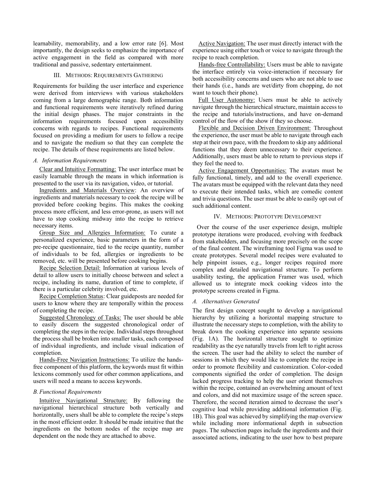learnability, memorability, and a low error rate [6]. Most importantly, the design seeks to emphasize the importance of active engagement in the field as compared with more traditional and passive, sedentary entertainment.

#### III. METHODS: REQUIREMENTS GATHERING

Requirements for building the user interface and experience were derived from interviews with various stakeholders coming from a large demographic range. Both information and functional requirements were iteratively refined during the initial design phases. The major constraints in the information requirements focused upon accessibility concerns with regards to recipes. Functional requirements focused on providing a medium for users to follow a recipe and to navigate the medium so that they can complete the recipe. The details of these requirements are listed below.

## *A. Information Requirements*

Clear and Intuitive Formatting: The user interface must be easily learnable through the means in which information is presented to the user via its navigation, video, or tutorial.

Ingredients and Materials Overview: An overview of ingredients and materials necessary to cook the recipe will be provided before cooking begins. This makes the cooking process more efficient, and less error-prone, as users will not have to stop cooking midway into the recipe to retrieve necessary items.

Group Size and Allergies Information: To curate a personalized experience, basic parameters in the form of a pre-recipe questionnaire, tied to the recipe quantity, number of individuals to be fed, allergies or ingredients to be removed, etc. will be presented before cooking begins.

Recipe Selection Detail: Information at various levels of detail to allow users to initially choose between and select a recipe, including its name, duration of time to complete, if there is a particular celebrity involved, etc.

Recipe Completion Status: Clear guideposts are needed for users to know where they are temporally within the process of completing the recipe.

Suggested Chronology of Tasks: The user should be able to easily discern the suggested chronological order of completing the steps in the recipe. Individual steps throughout the process shall be broken into smaller tasks, each composed of individual ingredients, and include visual indication of completion.

Hands-Free Navigation Instructions: To utilize the handsfree component of this platform, the keywords must fit within lexicons commonly used for other common applications, and users will need a means to access keywords.

## *B.Functional Requirements*

Intuitive Navigational Structure: By following the navigational hierarchical structure both vertically and horizontally, users shall be able to complete the recipe's steps in the most efficient order. It should be made intuitive that the ingredients on the bottom nodes of the recipe map are dependent on the node they are attached to above.

Active Navigation: The user must directly interact with the experience using either touch or voice to navigate through the recipe to reach completion.

Hands-free Controllability: Users must be able to navigate the interface entirely via voice-interaction if necessary for both accessibility concerns and users who are not able to use their hands (i.e., hands are wet/dirty from chopping, do not want to touch their phone).

Full User Autonomy: Users must be able to actively navigate through the hierarchical structure, maintain access to the recipe and tutorials/instructions, and have on-demand control of the flow of the show if they so choose.

Flexible and Decision Driven Environment: Throughout the experience, the user must be able to navigate through each step at their own pace, with the freedom to skip any additional functions that they deem unnecessary to their experience. Additionally, users must be able to return to previous steps if they feel the need to.

Active Engagement Opportunities: The avatars must be fully functional, timely, and add to the overall experience. The avatars must be equipped with the relevant data they need to execute their intended tasks, which are comedic content and trivia questions. The user must be able to easily opt out of such additional content.

## IV. METHODS: PROTOTYPE DEVELOPMENT

Over the course of the user experience design, multiple prototype iterations were produced, evolving with feedback from stakeholders, and focusing more precisely on the scope of the final content. The wireframing tool Figma was used to create prototypes. Several model recipes were evaluated to help pinpoint issues, e.g., longer recipes required more complex and detailed navigational structure. To perform usability testing, the application Framer was used, which allowed us to integrate mock cooking videos into the prototype screens created in Figma.

## *A. Alternatives Generated*

The first design concept sought to develop a navigational hierarchy by utilizing a horizontal mapping structure to illustrate the necessary steps to completion, with the ability to break down the cooking experience into separate sessions (Fig. 1A). The horizontal structure sought to optimize readability as the eye naturally travels from left to right across the screen. The user had the ability to select the number of sessions in which they would like to complete the recipe in order to promote flexibility and customization. Color-coded components signified the order of completion. The design lacked progress tracking to help the user orient themselves within the recipe, contained an overwhelming amount of text and colors, and did not maximize usage of the screen space. Therefore, the second iteration aimed to decrease the user's cognitive load while providing additional information (Fig. 1B). This goal was achieved by simplifying the map overview while including more informational depth in subsection pages. The subsection pages include the ingredients and their associated actions, indicating to the user how to best prepare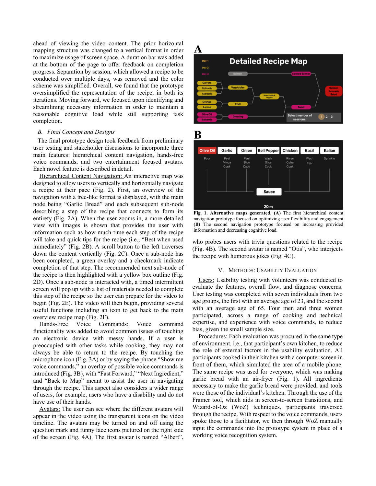ahead of viewing the video content. The prior horizontal mapping structure was changed to a vertical format in order to maximize usage of screen space. A duration bar was added at the bottom of the page to offer feedback on completion progress. Separation by session, which allowed a recipe to be conducted over multiple days, was removed and the color scheme was simplified. Overall, we found that the prototype oversimplified the representation of the recipe, in both its iterations. Moving forward, we focused upon identifying and streamlining necessary information in order to maintain a reasonable cognitive load while still supporting task completion.

## *B. Final Concept and Designs*

The final prototype design took feedback from preliminary user testing and stakeholder discussions to incorporate three main features: hierarchical content navigation, hands-free voice commands, and two entertainment focused avatars. Each novel feature is described in detail.

Hierarchical Content Navigation: An interactive map was designed to allow users to vertically and horizontally navigate a recipe at their pace (Fig. 2). First, an overview of the navigation with a tree-like format is displayed, with the main node being "Garlic Bread" and each subsequent sub-node describing a step of the recipe that connects to form its entirety (Fig. 2A). When the user zooms in, a more detailed view with images is shown that provides the user with information such as how much time each step of the recipe will take and quick tips for the recipe (i.e., "Best when used immediately" (Fig. 2B). A scroll button to the left traverses down the content vertically (Fig. 2C). Once a sub-node has been completed, a green overlay and a checkmark indicate completion of that step. The recommended next sub-node of the recipe is then highlighted with a yellow box outline (Fig. 2D). Once a sub-node is interacted with, a timed intermittent screen will pop up with a list of materials needed to complete this step of the recipe so the user can prepare for the video to begin (Fig. 2E). The video will then begin, providing several useful functions including an icon to get back to the main overview recipe map (Fig. 2F).

Hands-Free Voice Commands: Voice command functionality was added to avoid common issues of touching an electronic device with messy hands. If a user is preoccupied with other tasks while cooking, they may not always be able to return to the recipe. By touching the microphone icon (Fig.  $3A$ ) or by saying the phrase "Show me voice commands," an overlay of possible voice commands is introduced (Fig. 3B), with "Fast Forward," "Next Ingredient," and "Back to Map" meant to assist the user in navigating through the recipe. This aspect also considers a wider range of users, for example, users who have a disability and do not have use of their hands.

Avatars: The user can see where the different avatars will appear in the video using the transparent icons on the video timeline. The avatars may be turned on and off using the question mark and funny face icons pictured on the right side of the screen (Fig. 4A). The first avatar is named "Albert",



B



**Fig. 1. Alternative maps generated. (A)** The first hierarchical content navigation prototype focused on optimizing user flexibility and engagement **(B)** The second navigation prototype focused on increasing provided information and decreasing cognitive load.

who probes users with trivia questions related to the recipe (Fig. 4B). The second avatar is named "Otis", who interjects the recipe with humorous jokes (Fig. 4C).

#### V. METHODS: USABILITY EVALUATION

Users: Usability testing with volunteers was conducted to evaluate the features, overall flow, and diagnose concerns. User testing was completed with seven individuals from two age groups, the first with an average age of 23, and the second with an average age of 65. Four men and three women participated, across a range of cooking and technical expertise, and experience with voice commands, to reduce bias, given the small sample size.

Procedures: Each evaluation was procured in the same type of environment, i.e., that participant's own kitchen, to reduce the role of external factors in the usability evaluation. All participants cooked in their kitchen with a computer screen in front of them, which simulated the area of a mobile phone. The same recipe was used for everyone, which was making garlic bread with an air-fryer (Fig. 1). All ingredients necessary to make the garlic bread were provided, and tools were those of the individual's kitchen. Through the use of the Framer tool, which aids in screen-to-screen transitions, and Wizard-of-Oz (WoZ) techniques, participants traversed through the recipe. With respect to the voice commands, users spoke those to a facilitator, we then through WoZ manually input the commands into the prototype system in place of a working voice recognition system.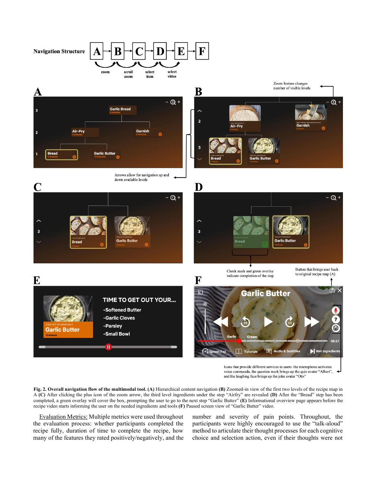

E



## TIME TO GET OUT YOUR... -Softened Butter

-Garlic Cloves -Parsley

-Small Bowl

 $\mathbf{H}$ 

Icons that provide different services to users: the microphone activates voice commands, the question mark brings up the quiz avatar "Albert", and the laughing face brings up the joke avatar "Otis"

 $\mathcal{P}$ 

☺

Wet Ingredie

**Fig. 2. Overall navigation flow of the multimodal tool. (A)** Hierarchical content navigation **(B)** Zoomed-in view of the first two levels of the recipe map in A (C) After clicking the plus icon of the zoom arrow, the third level ingredients under the step "Airfry" are revealed (D) After the "Bread" step has been completed, a green overlay will cover the box, prompting the user to go to the next step "Garlic Butter" (E) Informational overview page appears before the recipe video starts informing the user on the needed ingredients and tools **(F)** Paused screen view of "Garlic Butter" video.

F

Evaluation Metrics: Multiple metrics were used throughout the evaluation process: whether participants completed the recipe fully, duration of time to complete the recipe, how many of the features they rated positively/negatively, and the number and severity of pain points. Throughout, the participants were highly encouraged to use the "talk-aloud" method to articulate their thought processes for each cognitive choice and selection action, even if their thoughts were not

Garlic Butter

M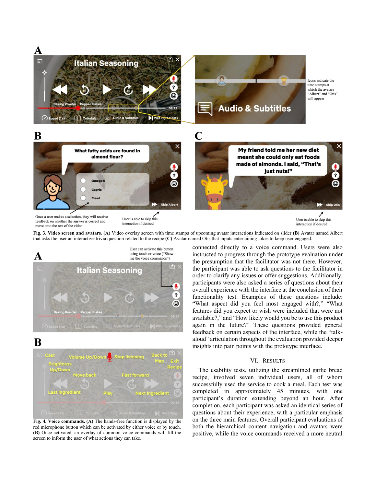

Once a user makes a selection, they will receive feedback on whether the answer is correct and move onto the rest of the video

User is able to skip this interaction if desired

User is able to skip this interaction if desired

**Fig. 3. Video screen and avatars. (A)** Video overlay screen with time stamps of upcoming avatar interactions indicated on slider **(B)** Avatar named Albert that asks the user an interactive trivia question related to the recipe **(C)** Avatar named Otis that inputs entertaining jokes to keep user engaged.



## B



**Fig. 4. Voice commands. (A)** The hands-free function is displayed by the red microphone button which can be activated by either voice or by touch. **(B)** Once activated, an overlay of common voice commands will fill the screen to inform the user of what actions they can take.

connected directly to a voice command. Users were also instructed to progress through the prototype evaluation under the presumption that the facilitator was not there. However, the participant was able to ask questions to the facilitator in order to clarify any issues or offer suggestions. Additionally, participants were also asked a series of questions about their overall experience with the interface at the conclusion of their functionality test. Examples of these questions include: "What aspect did you feel most engaged with?," "What features did you expect or wish were included that were not available?," and "How likely would you be to use this product again in the future?" These questions provided general feedback on certain aspects of the interface, while the "talkaloud" articulation throughout the evaluation provided deeper insights into pain points with the prototype interface.

## VI. RESULTS

The usability tests, utilizing the streamlined garlic bread recipe, involved seven individual users, all of whom successfully used the service to cook a meal. Each test was completed in approximately 45 minutes, with one participant's duration extending beyond an hour. After completion, each participant was asked an identical series of questions about their experience, with a particular emphasis on the three main features. Overall participant evaluations of both the hierarchical content navigation and avatars were positive, while the voice commands received a more neutral